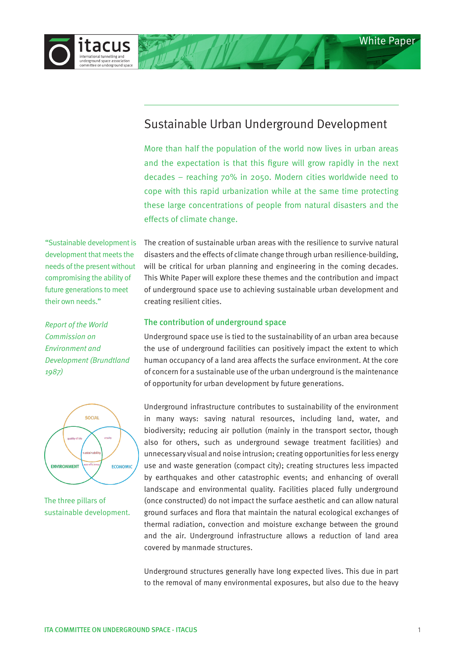

# Sustainable Urban Underground Development

More than half the population of the world now lives in urban areas and the expectation is that this figure will grow rapidly in the next decades – reaching 70% in 2050. Modern cities worldwide need to cope with this rapid urbanization while at the same time protecting these large concentrations of people from natural disasters and the effects of climate change.

development that meets the needs of the present without compromising the ability of future generations to meet their own needs."

*Report of the World Commission on Environment and Development (Brundtland 1987)*



The three pillars of sustainable development.

"Sustainable development is The creation of sustainable urban areas with the resilience to survive natural disasters and the effects of climate change through urban resilience-building, will be critical for urban planning and engineering in the coming decades. This White Paper will explore these themes and the contribution and impact of underground space use to achieving sustainable urban development and creating resilient cities.

# The contribution of underground space

Underground space use is tied to the sustainability of an urban area because the use of underground facilities can positively impact the extent to which human occupancy of a land area affects the surface environment. At the core of concern for a sustainable use of the urban underground is the maintenance of opportunity for urban development by future generations.

Underground infrastructure contributes to sustainability of the environment in many ways: saving natural resources, including land, water, and biodiversity; reducing air pollution (mainly in the transport sector, though also for others, such as underground sewage treatment facilities) and unnecessary visual and noise intrusion; creating opportunities for less energy use and waste generation (compact city); creating structures less impacted by earthquakes and other catastrophic events; and enhancing of overall landscape and environmental quality. Facilities placed fully underground (once constructed) do not impact the surface aesthetic and can allow natural ground surfaces and flora that maintain the natural ecological exchanges of thermal radiation, convection and moisture exchange between the ground and the air. Underground infrastructure allows a reduction of land area covered by manmade structures.

Underground structures generally have long expected lives. This due in part to the removal of many environmental exposures, but also due to the heavy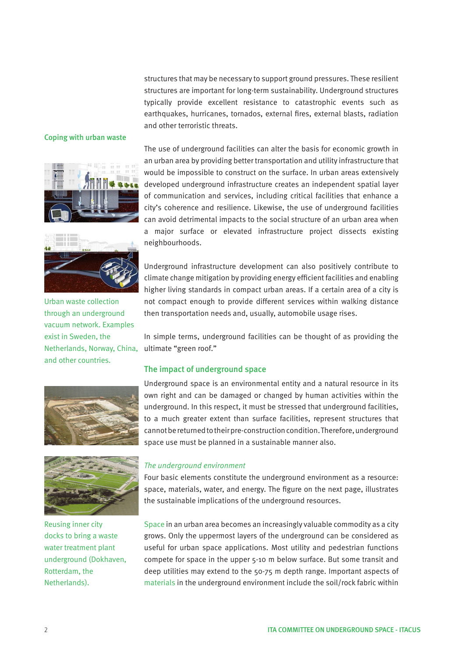structures that may be necessary to support ground pressures. These resilient structures are important for long-term sustainability. Underground structures typically provide excellent resistance to catastrophic events such as earthquakes, hurricanes, tornados, external fires, external blasts, radiation and other terroristic threats.

#### Coping with urban waste





Netherlands, Norway, China, ultimate "green roof." Urban waste collection through an underground vacuum network. Examples exist in Sweden, the and other countries.





Reusing inner city docks to bring a waste water treatment plant underground (Dokhaven, Rotterdam, the Netherlands).

The use of underground facilities can alter the basis for economic growth in an urban area by providing better transportation and utility infrastructure that would be impossible to construct on the surface. In urban areas extensively developed underground infrastructure creates an independent spatial layer of communication and services, including critical facilities that enhance a city's coherence and resilience. Likewise, the use of underground facilities can avoid detrimental impacts to the social structure of an urban area when a major surface or elevated infrastructure project dissects existing neighbourhoods.

Underground infrastructure development can also positively contribute to climate change mitigation by providing energy efficient facilities and enabling higher living standards in compact urban areas. If a certain area of a city is not compact enough to provide different services within walking distance then transportation needs and, usually, automobile usage rises.

In simple terms, underground facilities can be thought of as providing the

### The impact of underground space

Underground space is an environmental entity and a natural resource in its own right and can be damaged or changed by human activities within the underground. In this respect, it must be stressed that underground facilities, to a much greater extent than surface facilities, represent structures that cannot be returned to their pre-construction condition. Therefore, underground space use must be planned in a sustainable manner also.

## *The underground environment*

Four basic elements constitute the underground environment as a resource: space, materials, water, and energy. The figure on the next page, illustrates the sustainable implications of the underground resources.

Space in an urban area becomes an increasingly valuable commodity as a city grows. Only the uppermost layers of the underground can be considered as useful for urban space applications. Most utility and pedestrian functions compete for space in the upper 5-10 m below surface. But some transit and deep utilities may extend to the 50-75 m depth range. Important aspects of materials in the underground environment include the soil/rock fabric within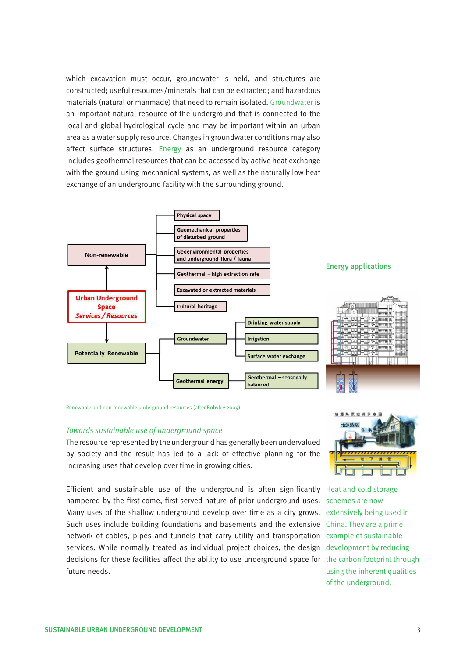which excavation must occur, groundwater is held, and structures are constructed; useful resources/minerals that can be extracted; and hazardous materials (natural or manmade) that need to remain isolated. Groundwater is an important natural resource of the underground that is connected to the local and global hydrological cycle and may be important within an urban area as a water supply resource. Changes in groundwater conditions may also affect surface structures. Energy as an underground resource category includes geothermal resources that can be accessed by active heat exchange with the ground using mechanical systems, as well as the naturally low heat exchange of an underground facility with the surrounding ground.



Renewable and non-renewable underground resources (after Bobylev 2009)

#### *Towards sustainable use of underground space*

The resource represented by the underground has generally been undervalued by society and the result has led to a lack of effective planning for the increasing uses that develop over time in growing cities.

Efficient and sustainable use of the underground is often significantly Heat and cold storage hampered by the first-come, first-served nature of prior underground uses. schemes are now Many uses of the shallow underground develop over time as a city grows. extensively being used in Such uses include building foundations and basements and the extensive China. They are a prime network of cables, pipes and tunnels that carry utility and transportation example of sustainable services. While normally treated as individual project choices, the design development by reducing decisions for these facilities affect the ability to use underground space for the carbon footprint through future needs.



using the inherent qualities of the underground.